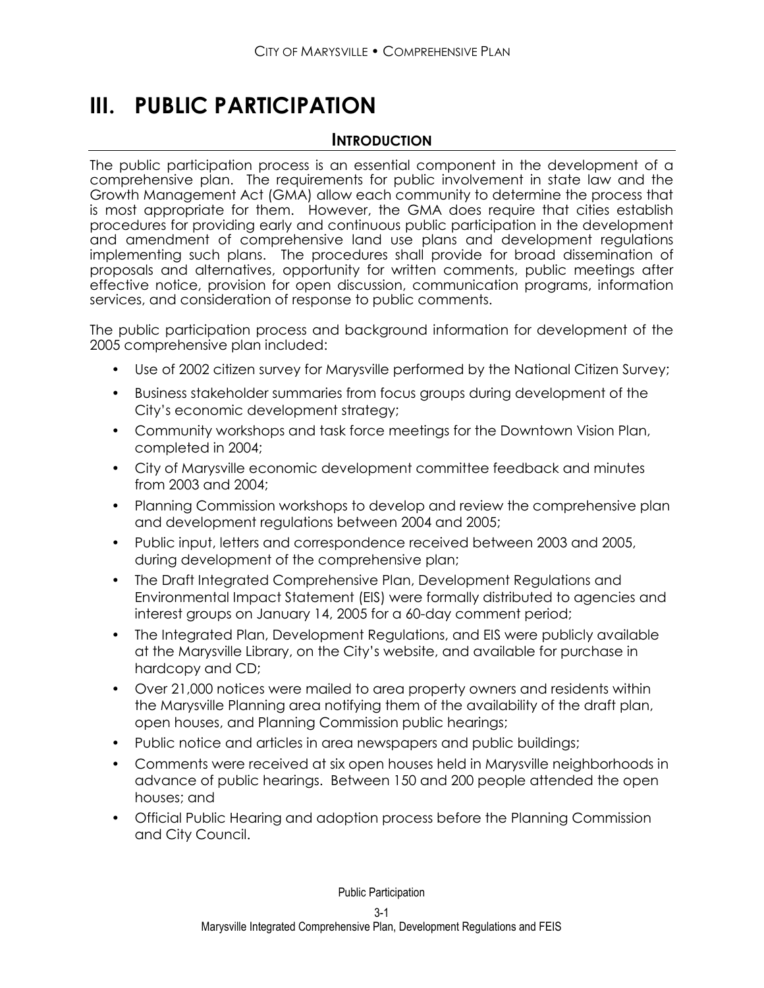# **III. PUBLIC PARTICIPATION**

### **INTRODUCTION**

The public participation process is an essential component in the development of a comprehensive plan. The requirements for public involvement in state law and the Growth Management Act (GMA) allow each community to determine the process that is most appropriate for them. However, the GMA does require that cities establish procedures for providing early and continuous public participation in the development and amendment of comprehensive land use plans and development regulations implementing such plans. The procedures shall provide for broad dissemination of proposals and alternatives, opportunity for written comments, public meetings after effective notice, provision for open discussion, communication programs, information services, and consideration of response to public comments.

The public participation process and background information for development of the 2005 comprehensive plan included:

- Use of 2002 citizen survey for Marysville performed by the National Citizen Survey;
- Business stakeholder summaries from focus groups during development of the City's economic development strategy;
- Community workshops and task force meetings for the Downtown Vision Plan, completed in 2004;
- City of Marysville economic development committee feedback and minutes from 2003 and 2004;
- Planning Commission workshops to develop and review the comprehensive plan and development regulations between 2004 and 2005;
- Public input, letters and correspondence received between 2003 and 2005, during development of the comprehensive plan;
- The Draft Integrated Comprehensive Plan, Development Regulations and Environmental Impact Statement (EIS) were formally distributed to agencies and interest groups on January 14, 2005 for a 60-day comment period;
- The Integrated Plan, Development Regulations, and EIS were publicly available at the Marysville Library, on the City's website, and available for purchase in hardcopy and CD;
- Over 21,000 notices were mailed to area property owners and residents within the Marysville Planning area notifying them of the availability of the draft plan, open houses, and Planning Commission public hearings;
- Public notice and articles in area newspapers and public buildings;
- Comments were received at six open houses held in Marysville neighborhoods in advance of public hearings. Between 150 and 200 people attended the open houses; and
- Official Public Hearing and adoption process before the Planning Commission and City Council.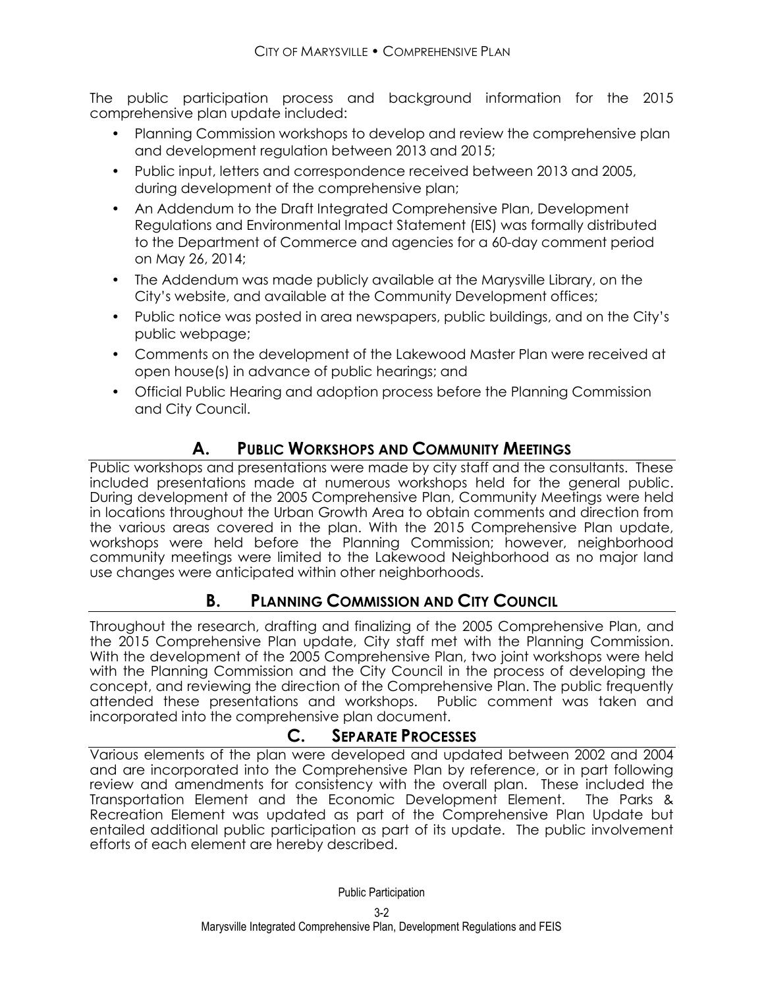The public participation process and background information for the 2015 comprehensive plan update included:

- Planning Commission workshops to develop and review the comprehensive plan and development regulation between 2013 and 2015;
- Public input, letters and correspondence received between 2013 and 2005, during development of the comprehensive plan;
- An Addendum to the Draft Integrated Comprehensive Plan, Development Regulations and Environmental Impact Statement (EIS) was formally distributed to the Department of Commerce and agencies for a 60-day comment period on May 26, 2014;
- The Addendum was made publicly available at the Marysville Library, on the City's website, and available at the Community Development offices;
- Public notice was posted in area newspapers, public buildings, and on the City's public webpage;
- Comments on the development of the Lakewood Master Plan were received at open house(s) in advance of public hearings; and
- Official Public Hearing and adoption process before the Planning Commission and City Council.

# **A. PUBLIC WORKSHOPS AND COMMUNITY MEETINGS**

Public workshops and presentations were made by city staff and the consultants. These included presentations made at numerous workshops held for the general public. During development of the 2005 Comprehensive Plan, Community Meetings were held in locations throughout the Urban Growth Area to obtain comments and direction from the various areas covered in the plan. With the 2015 Comprehensive Plan update, workshops were held before the Planning Commission; however, neighborhood community meetings were limited to the Lakewood Neighborhood as no major land use changes were anticipated within other neighborhoods.

## **B. PLANNING COMMISSION AND CITY COUNCIL**

Throughout the research, drafting and finalizing of the 2005 Comprehensive Plan, and the 2015 Comprehensive Plan update, City staff met with the Planning Commission. With the development of the 2005 Comprehensive Plan, two joint workshops were held with the Planning Commission and the City Council in the process of developing the concept, and reviewing the direction of the Comprehensive Plan. The public frequently attended these presentations and workshops. Public comment was taken and incorporated into the comprehensive plan document.

## **C. SEPARATE PROCESSES**

Various elements of the plan were developed and updated between 2002 and 2004 and are incorporated into the Comprehensive Plan by reference, or in part following review and amendments for consistency with the overall plan. These included the Transportation Element and the Economic Development Element. The Parks & Recreation Element was updated as part of the Comprehensive Plan Update but entailed additional public participation as part of its update. The public involvement efforts of each element are hereby described.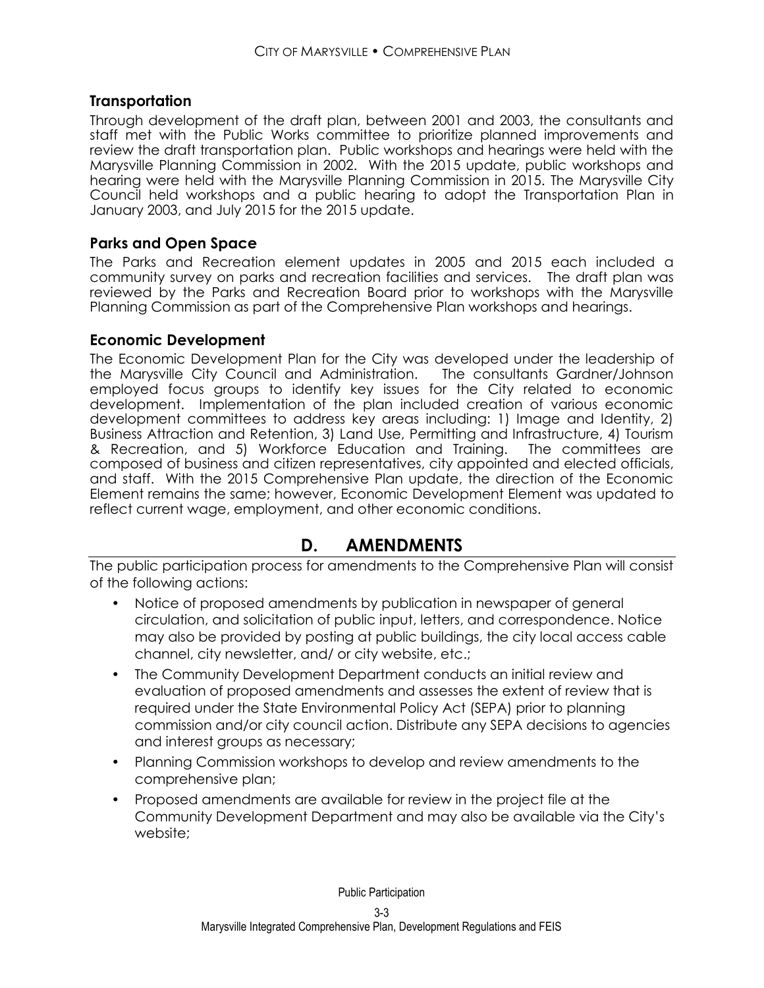#### **Transportation**

Through development of the draft plan, between 2001 and 2003, the consultants and staff met with the Public Works committee to prioritize planned improvements and review the draft transportation plan. Public workshops and hearings were held with the Marysville Planning Commission in 2002. With the 2015 update, public workshops and hearing were held with the Marysville Planning Commission in 2015. The Marysville City Council held workshops and a public hearing to adopt the Transportation Plan in January 2003, and July 2015 for the 2015 update.

#### **Parks and Open Space**

The Parks and Recreation element updates in 2005 and 2015 each included a community survey on parks and recreation facilities and services. The draft plan was reviewed by the Parks and Recreation Board prior to workshops with the Marysville Planning Commission as part of the Comprehensive Plan workshops and hearings.

#### **Economic Development**

The Economic Development Plan for the City was developed under the leadership of the Marysville City Council and Administration. The consultants Gardner/Johnson employed focus groups to identify key issues for the City related to economic development. Implementation of the plan included creation of various economic development committees to address key areas including: 1) Image and Identity, 2) Business Attraction and Retention, 3) Land Use, Permitting and Infrastructure, 4) Tourism & Recreation, and 5) Workforce Education and Training. The committees are composed of business and citizen representatives, city appointed and elected officials, and staff. With the 2015 Comprehensive Plan update, the direction of the Economic Element remains the same; however, Economic Development Element was updated to reflect current wage, employment, and other economic conditions.

## **D. AMENDMENTS**

The public participation process for amendments to the Comprehensive Plan will consist of the following actions:

- Notice of proposed amendments by publication in newspaper of general circulation, and solicitation of public input, letters, and correspondence. Notice may also be provided by posting at public buildings, the city local access cable channel, city newsletter, and/ or city website, etc.;
- The Community Development Department conducts an initial review and evaluation of proposed amendments and assesses the extent of review that is required under the State Environmental Policy Act (SEPA) prior to planning commission and/or city council action. Distribute any SEPA decisions to agencies and interest groups as necessary;
- Planning Commission workshops to develop and review amendments to the comprehensive plan;
- Proposed amendments are available for review in the project file at the Community Development Department and may also be available via the City's website;